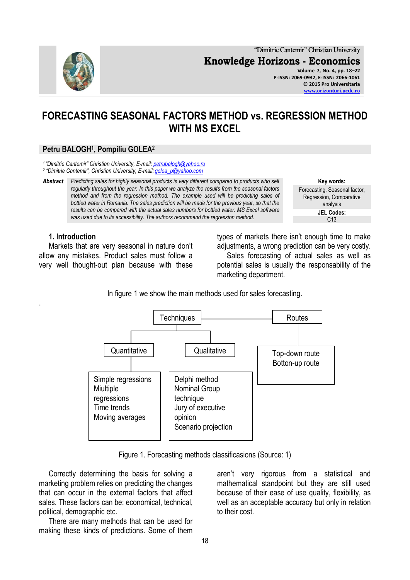

**"Dimitrie Cantemir" Christian University Knowledge Horizons - Economics Volume 7, No. 4, pp. 18–22 P-ISSN: 2069-0932, E-ISSN: 2066-1061 © 2015 Pro Universitaria [www.orizonturi.ucdc.ro](http://www.orizonturi.ucdc.ro/)**

# **FORECASTING SEASONAL FACTORS METHOD vs. REGRESSION METHOD WITH MS EXCEL**

# **Petru BALOGH<sup>1</sup> , Pompiliu GOLEA<sup>2</sup>**

*<sup>1</sup>"Dimitrie Cantemir" Christian University, E-mail: [petrubalogh@yahoo.ro](mailto:petrubalogh@yahoo.ro)*

*2 "Dimitrie Cantemir", Christian University, E-mail: [golea\\_p@yahoo.com](mailto:golea_p@yahoo.com)*

*Abstract Predicting sales for highly seasonal products is very different compared to products who sell regularly throughout the year. In this paper we analyze the results from the seasonal factors method and from the regression method. The example used will be predicting sales of bottled water in Romania. The sales prediction will be made for the previous year, so that the results can be compared with the actual sales numbers for bottled water. MS Excel software was used due to its accessibility. The authors recommend the regression method.*

**Key words:** Forecasting, Seasonal factor, Regression, Comparative analysis **JEL Codes:**  $C<sub>13</sub>$ 

### **1. Introduction**

.

Markets that are very seasonal in nature don't allow any mistakes. Product sales must follow a very well thought-out plan because with these

types of markets there isn't enough time to make adjustments, a wrong prediction can be very costly. Sales forecasting of actual sales as well as potential sales is usually the responsability of the marketing department.

In figure 1 we show the main methods used for sales forecasting.



Figure 1. Forecasting methods classificasions (Source: 1)

Correctly determining the basis for solving a marketing problem relies on predicting the changes that can occur in the external factors that affect sales. These factors can be: economical, technical, political, demographic etc.

There are many methods that can be used for making these kinds of predictions. Some of them

aren't very rigorous from a statistical and mathematical standpoint but they are still used because of their ease of use quality, flexibility, as well as an acceptable accuracy but only in relation to their cost.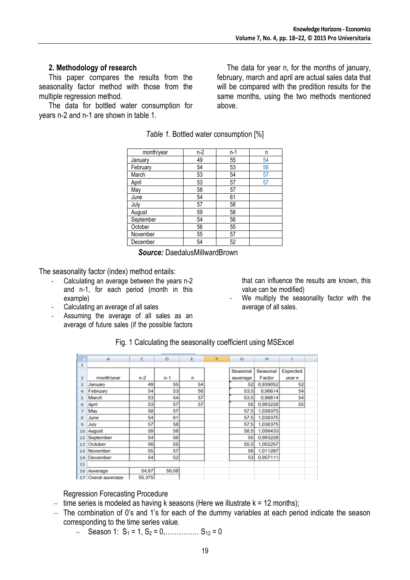# **2. Methodology of research**

This paper compares the results from the seasonality factor method with those from the multiple regression method.

The data for bottled water consumption for years n-2 and n-1 are shown in table 1.

The data for year n, for the months of january, february, march and april are actual sales data that will be compared with the predition results for the same months, using the two methods mentioned above.

*Table 1.* Bottled water consumption [%]

| month/year | $n-2$ | $n-1$ | n  |
|------------|-------|-------|----|
| January    | 49    | 55    | 54 |
| February   | 54    | 53    | 56 |
| March      | 53    | 54    | 57 |
| April      | 53    | 57    | 57 |
| May        | 58    | 57    |    |
| June       | 54    | 61    |    |
| July       | 57    | 58    |    |
| August     | 59    | 58    |    |
| September  | 54    | 56    |    |
| October    | 56    | 55    |    |
| November   | 55    | 57    |    |
| December   | 54    | 52    |    |

*Source:* DaedalusMillwardBrown

The seasonality factor (index) method entails:

- Calculating an average between the years n-2 and n-1, for each period (month in this example)
- Calculating an average of all sales
- Assuming the average of all sales as an average of future sales (if the possible factors

that can influence the results are known, this value can be modified)

We multiply the seasonality factor with the average of all sales.

| $\overline{\phantom{a}}$ | А               | с      | D       | Ε  | F | G        | н        |          |  |
|--------------------------|-----------------|--------|---------|----|---|----------|----------|----------|--|
| 1                        |                 |        |         |    |   |          |          |          |  |
|                          |                 |        |         |    |   | Seasonal | Seasonal | Expected |  |
| $\overline{2}$           | monthlyear      | $n-2$  | $n - 1$ | n  |   | auverage | Factor   | vear n   |  |
| 3                        | January         | 49     | 55      | 54 |   | 52       | 0,939052 | 52       |  |
| 4                        | February        | 54     | 53      | 56 |   | 53,5     | 0,96614  | 54       |  |
| 5                        | March           | 53     | 54      | 57 |   | 53.5     | 0.96614  | 54       |  |
| 6                        | April           | 53     | 57      | 57 |   | 55       | 0,993228 | 55       |  |
| 7                        | May             | 58     | 57      |    |   | 57,5     | 1,038375 |          |  |
| 8                        | June            | 54     | 61      |    |   | 57,5     | 1,038375 |          |  |
| 9                        | July            | 57     | 58      |    |   | 57,5     | 1,038375 |          |  |
| 10                       | August          | 59     | 58      |    |   | 58,5     | 1,056433 |          |  |
| 11                       | September       | 54     | 56      |    |   | 55       | 0.993228 |          |  |
| 12                       | October         | 56     | 55      |    |   | 55.5     | 1,002257 |          |  |
| 13                       | November        | 55     | 57      |    |   | 56       | 1,011287 |          |  |
| 14                       | December        | 54     | 52      |    |   | 53       | 0,957111 |          |  |
| 15                       |                 |        |         |    |   |          |          |          |  |
| 16                       | Auverage        | 54,67  | 56,08   |    |   |          |          |          |  |
|                          | Overal auverage | 55,375 |         |    |   |          |          |          |  |

Fig. 1 Calculating the seasonality coefficient using MSExcel

Regression Forecasting Procedure

- $-$  time series is modeled as having k seasons (Here we illustrate  $k = 12$  months);
- The combination of 0's and 1's for each of the dummy variables at each period indicate the season corresponding to the time series value.
	- $-$  Season 1: S<sub>1</sub> = 1, S<sub>2</sub> = 0,................ S<sub>12</sub> = 0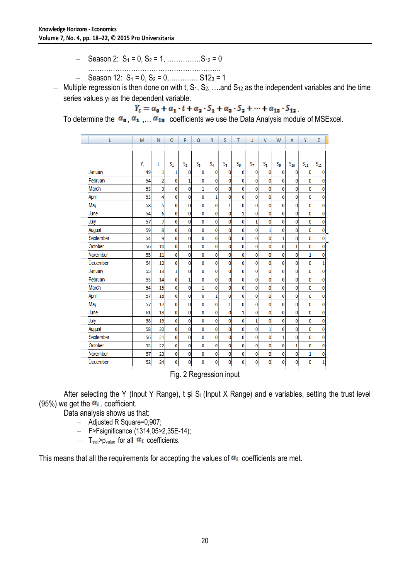- Season 2: S<sup>1</sup> = 0, S<sup>2</sup> = 1, ……………S<sup>12</sup> = 0
- …………………………………………………..  $-$  Season 12:  $S_1 = 0$ ,  $S_2 = 0$ , ............. S12<sub>3</sub> = 1
- Multiple regression is then done on with t,  $S_1, S_2, \ldots$  and  $S_{12}$  as the independent variables and the time series values  $y_t$  as the dependent variable.

 $Y_t = \alpha_0 + \alpha_1 \cdot t + \alpha_2 \cdot S_1 + \alpha_3 \cdot S_2 + \dots + \alpha_{13} \cdot S_{12}$ 

To determine the  $\alpha_0$ ,  $\alpha_1$ ,  $\alpha_{12}$  coefficients we use the Data Analysis module of MSExcel.

| L         | M  | N              | O            | P            | Q            | R              | S            | т            | U           | $\mathsf{V}$ | W        | X        | Υ                 | Z        |
|-----------|----|----------------|--------------|--------------|--------------|----------------|--------------|--------------|-------------|--------------|----------|----------|-------------------|----------|
|           |    |                |              |              |              |                |              |              |             |              |          |          |                   |          |
|           | Y  | t              | $S_1$        | $S_2$        | $S_3$        | $S_4$          | S,           | $S_6$        | $S_7$       | $S_8$        | $S_{g}$  | $S_{10}$ | $\mathbf{S_{11}}$ | $S_{12}$ |
| January   | 49 | 1              | 1            | 0            | 0            | 0              | 0            | 0            | $\bf{0}$    | 0            | $\bf{0}$ | 0        | 0                 | 0        |
| February  | 54 | $\overline{2}$ | 0            | $\mathbf{1}$ | 0            | 0              | 0            | 0            | $\mathbf 0$ | 0            | 0        | 0        | 0                 | 0        |
| March     | 53 | 3              | 0            | 0            | $\mathbf{1}$ | $\mathbf 0$    | $\mathbf 0$  | $\bf{0}$     | $\bf{0}$    | 0            | 0        | 0        | 0                 | 0        |
| April     | 53 | 4              | 0            | $\bf{0}$     | 0            | $\mathbf{1}$   | 0            | $\bf{0}$     | $\bf{0}$    | $\bf{0}$     | 0        | 0        | 0                 | 0        |
| May       | 58 | 5              | 0            | 0            | 0            | 0              | $\mathbf{1}$ | 0            | $\bf{0}$    | 0            | 0        | 0        | 0                 | 0        |
| June      | 54 | 6              | 0            | 0            | 0            | 0              | 0            | $\mathbf{1}$ | 0           | 0            | 0        | 0        | 0                 | 0        |
| July      | 57 | 7              | 0            | 0            | 0            | $\bf{0}$       | 0            | $\bf{0}$     | 1           | $\bf{0}$     | 0        | 0        | 0                 | 0        |
| August    | 59 | 8              | 0            | 0            | 0            | 0              | 0            | 0            | 0           | 1            | 0        | 0        | 0                 | 0        |
| September | 54 | 9              | 0            | 0            | 0            | 0              | 0            | 0            | $\bf{0}$    | 0            | 1        | 0        | 0                 | 0        |
| October   | 56 | 10             | 0            | 0            | 0            | 0              | 0            | 0            | 0           | 0            | 0        | 1        | 0                 | 0        |
| November  | 55 | 11             | 0            | 0            | 0            | 0              | 0            | 0            | $\bf{0}$    | 0            | 0        | 0        | 1                 | 0        |
| December  | 54 | 12             | $\mathbf 0$  | 0            | 0            | $\bf{0}$       | 0            | 0            | $\bf{0}$    | 0            | 0        | 0        | 0                 | 1        |
| January   | 55 | 13             | $\mathbf{1}$ | 0            | 0            | $\bf{0}$       | 0            | 0            | $\bf{0}$    | 0            | 0        | 0        | 0                 | 0        |
| February  | 53 | 14             | $\mathbf 0$  | $\mathbf{1}$ | 0            | $\bf{0}$       | 0            | 0            | $\bf{0}$    | 0            | 0        | 0        | 0                 | 0        |
| March     | 54 | 15             | 0            | 0            | 1            | 0              | 0            | 0            | $\mathbf 0$ | $\bf{0}$     | 0        | 0        | 0                 | 0        |
| April     | 57 | 16             | $\mathbf 0$  | 0            | 0            | $\overline{1}$ | 0            | $\bf{0}$     | $\mathbf 0$ | 0            | 0        | 0        | 0                 | 0        |
| May       | 57 | 17             | 0            | 0            | 0            | $\mathbf 0$    | $\mathbf{1}$ | $\mathbf 0$  | $\mathbf 0$ | 0            | 0        | 0        | 0                 | 0        |
| June      | 61 | 18             | 0            | 0            | 0            | $\bf{0}$       | 0            | $\mathbf{1}$ | $\bf{0}$    | 0            | 0        | 0        | 0                 | 0        |
| July      | 58 | 19             | 0            | 0            | 0            | $\bf{0}$       | 0            | $\bf{0}$     | 1           | 0            | 0        | 0        | 0                 | 0        |
| August    | 58 | 20             | $\mathbf 0$  | $\bf{0}$     | 0            | 0              | 0            | 0            | $\bf{0}$    | 1            | 0        | 0        | 0                 | 0        |
| September | 56 | 21             | $\mathbf 0$  | 0            | 0            | $\bf{0}$       | 0            | $\bf{0}$     | 0           | 0            | 1        | 0        | 0                 | 0        |
| October   | 55 | 22             | $\bf{0}$     | 0            | 0            | $\bf{0}$       | $\bf{0}$     | 0            | $\bf{0}$    | 0            | 0        | 1        | 0                 | 0        |
| November  | 57 | 23             | $\mathbf 0$  | 0            | 0            | 0              | 0            | 0            | $\bf{0}$    | 0            | 0        | 0        | 1                 | 0        |
| December  | 52 | 24             | 0            | 0            | 0            | $\bf{0}$       | 0            | 0            | 0           | 0            | 0        | 0        | 0                 | 1        |

Fig. 2 Regression input

After selecting the Y<sub>i</sub> (Input Y Range), t și S<sub>i</sub> (Input X Range) and e variables, setting the trust level (95%) we get the  $\alpha_i$  coefficient.

Data analysis shows us that:

- Adjusted R Square=0,907;
- F>Fsignificance (1314,05>2,35E-14);
- T<sub>stat</sub>>p<sub>value</sub> for all  $\alpha_i$  coefficients.

This means that all the requirements for accepting the values of  $\alpha_i$  coefficients are met.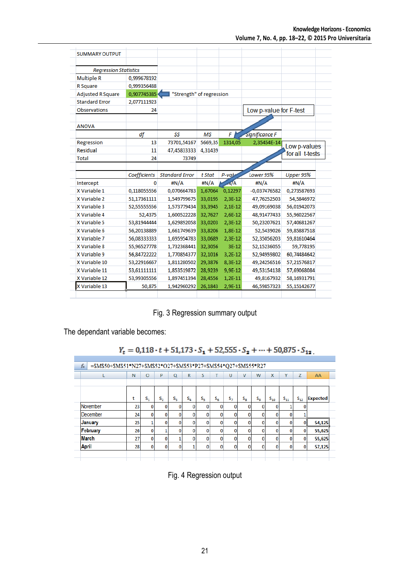| <b>SUMMARY OUTPUT</b>        |              |                          |           |            |                        |                                 |
|------------------------------|--------------|--------------------------|-----------|------------|------------------------|---------------------------------|
| <b>Regression Statistics</b> |              |                          |           |            |                        |                                 |
| <b>Multiple R</b>            | 0,999678192  |                          |           |            |                        |                                 |
| R Square                     | 0,999356488  |                          |           |            |                        |                                 |
| <b>Adjusted R Square</b>     | 0,907745385  | "Strength" of regression |           |            |                        |                                 |
| <b>Standard Error</b>        | 2,077111923  |                          |           |            |                        |                                 |
| <b>Observations</b>          | 24           |                          |           |            | Low p-value for F-test |                                 |
|                              |              |                          |           |            |                        |                                 |
| <b>ANOVA</b>                 |              |                          |           |            |                        |                                 |
|                              | df           | SS                       | <b>MS</b> | F          | <b>Significance F</b>  |                                 |
| Regression                   | 13           | 73701,54167              | 5669,35   | 1314,05    | 2,35454E-14            |                                 |
| <b>Residual</b>              | 11           | 47,45833333              | 4,31439   |            |                        | Low p-values<br>for all t-tests |
| <b>Total</b>                 | 24           | 73749                    |           |            |                        |                                 |
|                              |              |                          |           |            |                        |                                 |
|                              | Coefficients | <b>Standard Error</b>    | t Stat    | P-valu     | Lower 95%              | Upper 95%                       |
| Intercept                    | 0            | #N/A                     | #N/A      | $\sqrt{A}$ | #N/A                   | #N/A                            |
| X Variable 1                 | 0,118055556  | 0,070664783              | 1,67064   | 0,12297    | $-0,037476582$         | 0,273587693                     |
| X Variable 2                 | 51,17361111  | 1,549799675              | 33,0195   | 2,3E-12    | 47,76252503            | 54,5846972                      |
| X Variable 3                 | 52,55555556  | 1,573779434              | 33,3945   | $2.1E-12$  | 49,09169038            | 56.01942073                     |
| X Variable 4                 | 52,4375      | 1,600522228              | 32,7627   | 2,6E-12    | 48,91477433            | 55,96022567                     |
| X Variable 5                 | 53.81944444  | 1,629892058              | 33,0203   | $2,3E-12$  | 50,23207621            | 57,40681267                     |
| X Variable 6                 | 56.20138889  | 1,661749639              | 33,8206   | 1,8E-12    | 52.5439026             | 59.85887518                     |
| X Variable 7                 | 56,08333333  | 1,695954783              | 33,0689   | 2,3E-12    | 52,35056203            | 59,81610464                     |
| X Variable 8                 | 55,96527778  | 1,732368441              | 32,3056   | $3E-12$    | 52,15236055            | 59,778195                       |
| X Variable 9                 | 56,84722222  | 1,770854377              | 32,1016   | $3,2E-12$  | 52,94959802            | 60,74484642                     |
| X Variable 10                | 53,22916667  | 1,811280502              | 29,3876   | 8,3E-12    | 49,24256516            | 57,21576817                     |
| X Variable 11                | 53,61111111  | 1,853519872              | 28,9239   | 9,9E-12    | 49,53154138            | 57,69068084                     |
| X Variable 12                | 53,99305556  | 1,897451394              | 28,4556   | $1,2E-11$  | 49,8167932             | 58,16931791                     |
| X Variable 13                |              |                          |           |            |                        |                                 |

Fig. 3 Regression summary output

The dependant variable becomes:

```
Y_t = 0{,}118 \cdot t + 51{,}173 \cdot S_1 + 52{,}555 \cdot S_2 + \cdots + 50{,}875 \cdot S_{12}
```

|              | N  | $\circ$ | p              | O           | R            | S  |              | U          | V           | W            | X        | Y        | Z            | AA              |
|--------------|----|---------|----------------|-------------|--------------|----|--------------|------------|-------------|--------------|----------|----------|--------------|-----------------|
|              |    |         |                |             |              |    |              |            |             |              |          |          |              |                 |
|              | t  | $S_{1}$ | S <sub>2</sub> | $S_{\rm R}$ | $S_{\alpha}$ | S, | $S_{\kappa}$ | $S_{\tau}$ | $S_{\rm R}$ | $S_{\alpha}$ | $S_{10}$ | $S_{11}$ | $S_{12}$     | <b>Expected</b> |
| November     | 23 | 0       | $\Omega$       | o           | 0            | 0  | $\Omega$     | 0          | 0           | 0            | n        |          | 0            |                 |
| December     | 24 | 0       | 0              | 0           | 0            | 0  | $\Omega$     | 0          | 0           | 0            | 0        | 0        |              |                 |
| January      | 25 |         | $\Omega$       | 0           | 0            | 0  | $\Omega$     | 0          | 0           | 0            | 0        | 0        | $\mathbf{0}$ | 54,125          |
| February     | 26 | Ω       |                | 0           | 0            | 0  | O            | 0          | 0           | 0            | n        | 0        | 0            | 55,625          |
| <b>March</b> | 27 | Ω       | 0              |             | 0            | 0  | $\Omega$     | o          | 0           | 0            | n        | 0        | 0            | 55,625          |
| <b>April</b> | 28 | 0       | $\Omega$       | 0           |              | 0  | $\Omega$     | 0          | 0           | 0            | 0        | 0        | 0            | 57,125          |

Fig. 4 Regression output